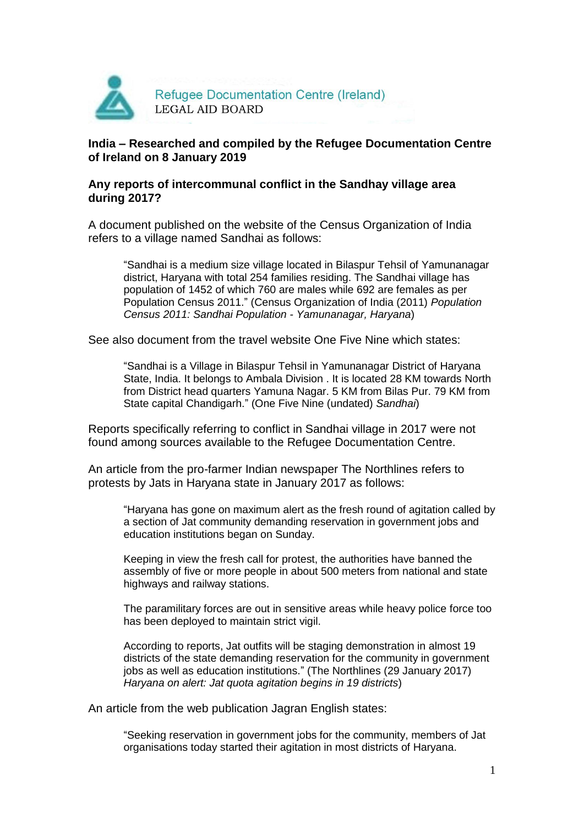

# **India – Researched and compiled by the Refugee Documentation Centre of Ireland on 8 January 2019**

# **Any reports of intercommunal conflict in the Sandhay village area during 2017?**

A document published on the website of the Census Organization of India refers to a village named Sandhai as follows:

"Sandhai is a medium size village located in Bilaspur Tehsil of Yamunanagar district, Haryana with total 254 families residing. The Sandhai village has population of 1452 of which 760 are males while 692 are females as per Population Census 2011." (Census Organization of India (2011) *Population Census 2011: Sandhai Population - Yamunanagar, Haryana*)

See also document from the travel website One Five Nine which states:

"Sandhai is a Village in Bilaspur Tehsil in Yamunanagar District of Haryana State, India. It belongs to Ambala Division . It is located 28 KM towards North from District head quarters Yamuna Nagar. 5 KM from Bilas Pur. 79 KM from State capital Chandigarh." (One Five Nine (undated) *Sandhai*)

Reports specifically referring to conflict in Sandhai village in 2017 were not found among sources available to the Refugee Documentation Centre.

An article from the pro-farmer Indian newspaper The Northlines refers to protests by Jats in Haryana state in January 2017 as follows:

"Haryana has gone on maximum alert as the fresh round of agitation called by a section of Jat community demanding reservation in government jobs and education institutions began on Sunday.

Keeping in view the fresh call for protest, the authorities have banned the assembly of five or more people in about 500 meters from national and state highways and railway stations.

The paramilitary forces are out in sensitive areas while heavy police force too has been deployed to maintain strict vigil.

According to reports, Jat outfits will be staging demonstration in almost 19 districts of the state demanding reservation for the community in government jobs as well as education institutions." (The Northlines (29 January 2017) *Haryana on alert: Jat quota agitation begins in 19 districts*)

An article from the web publication Jagran English states:

"Seeking reservation in government jobs for the community, members of Jat organisations today started their agitation in most districts of Haryana.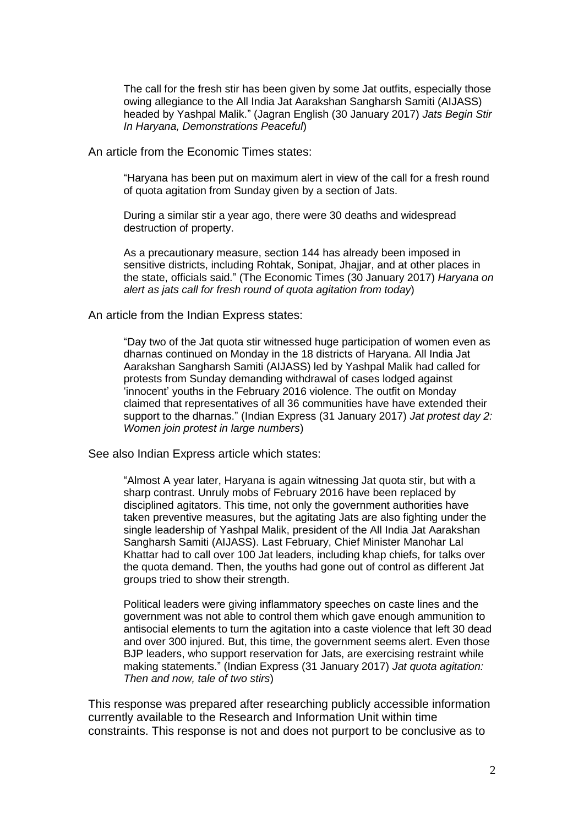The call for the fresh stir has been given by some Jat outfits, especially those owing allegiance to the All India Jat Aarakshan Sangharsh Samiti (AIJASS) headed by Yashpal Malik." (Jagran English (30 January 2017) *Jats Begin Stir In Haryana, Demonstrations Peaceful*)

### An article from the Economic Times states:

"Haryana has been put on maximum alert in view of the call for a fresh round of quota agitation from Sunday given by a section of Jats.

During a similar stir a year ago, there were 30 deaths and widespread destruction of property.

As a precautionary measure, section 144 has already been imposed in sensitive districts, including Rohtak, Sonipat, Jhajjar, and at other places in the state, officials said." (The Economic Times (30 January 2017) *Haryana on alert as jats call for fresh round of quota agitation from today*)

#### An article from the Indian Express states:

"Day two of the Jat quota stir witnessed huge participation of women even as dharnas continued on Monday in the 18 districts of Haryana. All India Jat Aarakshan Sangharsh Samiti (AIJASS) led by Yashpal Malik had called for protests from Sunday demanding withdrawal of cases lodged against 'innocent' youths in the February 2016 violence. The outfit on Monday claimed that representatives of all 36 communities have have extended their support to the dharnas." (Indian Express (31 January 2017) *Jat protest day 2: Women join protest in large numbers*)

See also Indian Express article which states:

"Almost A year later, Haryana is again witnessing Jat quota stir, but with a sharp contrast. Unruly mobs of February 2016 have been replaced by disciplined agitators. This time, not only the government authorities have taken preventive measures, but the agitating Jats are also fighting under the single leadership of Yashpal Malik, president of the All India Jat Aarakshan Sangharsh Samiti (AIJASS). Last February, Chief Minister Manohar Lal Khattar had to call over 100 Jat leaders, including khap chiefs, for talks over the quota demand. Then, the youths had gone out of control as different Jat groups tried to show their strength.

Political leaders were giving inflammatory speeches on caste lines and the government was not able to control them which gave enough ammunition to antisocial elements to turn the agitation into a caste violence that left 30 dead and over 300 injured. But, this time, the government seems alert. Even those BJP leaders, who support reservation for Jats, are exercising restraint while making statements." (Indian Express (31 January 2017) *Jat quota agitation: Then and now, tale of two stirs*)

This response was prepared after researching publicly accessible information currently available to the Research and Information Unit within time constraints. This response is not and does not purport to be conclusive as to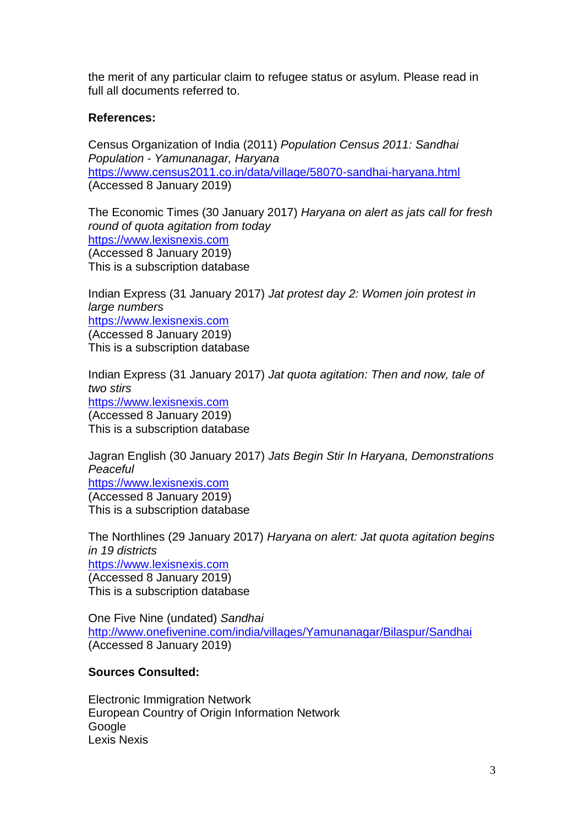the merit of any particular claim to refugee status or asylum. Please read in full all documents referred to.

# **References:**

Census Organization of India (2011) *Population Census 2011: Sandhai Population - Yamunanagar, Haryana* <https://www.census2011.co.in/data/village/58070-sandhai-haryana.html> (Accessed 8 January 2019)

The Economic Times (30 January 2017) *Haryana on alert as jats call for fresh round of quota agitation from today* [https://www.lexisnexis.com](https://www.lexisnexis.com/) (Accessed 8 January 2019) This is a subscription database

Indian Express (31 January 2017) *Jat protest day 2: Women join protest in large numbers* [https://www.lexisnexis.com](https://www.lexisnexis.com/) (Accessed 8 January 2019) This is a subscription database

Indian Express (31 January 2017) *Jat quota agitation: Then and now, tale of two stirs* [https://www.lexisnexis.com](https://www.lexisnexis.com/) (Accessed 8 January 2019) This is a subscription database

Jagran English (30 January 2017) *Jats Begin Stir In Haryana, Demonstrations Peaceful* [https://www.lexisnexis.com](https://www.lexisnexis.com/) (Accessed 8 January 2019) This is a subscription database

The Northlines (29 January 2017) *Haryana on alert: Jat quota agitation begins in 19 districts* [https://www.lexisnexis.com](https://www.lexisnexis.com/) (Accessed 8 January 2019) This is a subscription database

One Five Nine (undated) *Sandhai* <http://www.onefivenine.com/india/villages/Yamunanagar/Bilaspur/Sandhai> (Accessed 8 January 2019)

# **Sources Consulted:**

Electronic Immigration Network European Country of Origin Information Network Google Lexis Nexis